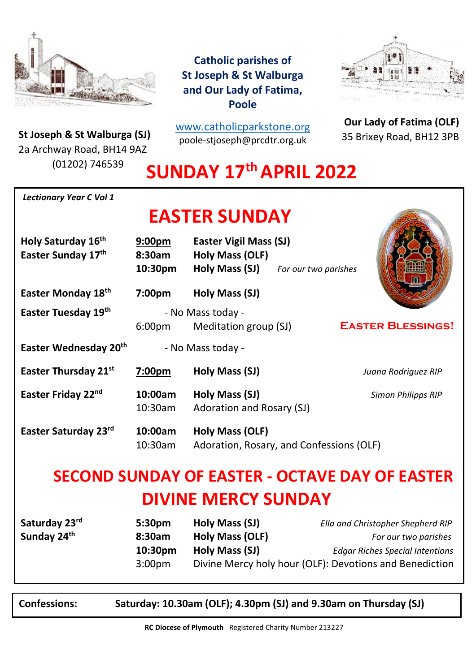

**St Joseph & St Walburga (SJ)**<br>23 Archway Road, BH14 9A7 2a Archway Road, BH14 9AZ (01202) 746539

**Catholic parishes of St Joseph & St Walburga and Our Lady of Fatima, Poole**

[www.catholicparkstone.o](http://www.catholicparkstone.org/)[rg](http://www.catholicparkstone.org/) poole-stjoseph@prcdtr.org.uk



**Our Lady of Fatima (OLF)** 35 Brixey Road, BH12 3PB

# **SUNDAY 17 thAPRIL 2022**

| <b>Lectionary Year C Vol 1</b>                        |                                         |                                                                           |                                                                                                     |
|-------------------------------------------------------|-----------------------------------------|---------------------------------------------------------------------------|-----------------------------------------------------------------------------------------------------|
| <b>EASTER SUNDAY</b>                                  |                                         |                                                                           |                                                                                                     |
| Holy Saturday 16th<br>Easter Sunday 17th              | 9:00 <sub>pm</sub><br>8:30am<br>10:30pm | <b>Easter Vigil Mass (SJ)</b><br><b>Holy Mass (OLF)</b><br>Holy Mass (SJ) | For our two parishes                                                                                |
| Easter Monday 18 <sup>th</sup>                        | 7:00pm                                  | Holy Mass (SJ)                                                            |                                                                                                     |
| Easter Tuesday 19th                                   | 6:00 <sub>pm</sub>                      | - No Mass today -<br>Meditation group (SJ)                                | <b>EASTER BLESSINGS!</b>                                                                            |
| Easter Wednesday 20th<br>- No Mass today -            |                                         |                                                                           |                                                                                                     |
| Easter Thursday 21st                                  | 7:00pm                                  | Holy Mass (SJ)                                                            | Juana Rodriguez RIP                                                                                 |
| Easter Friday 22nd                                    | 10:00am<br>10:30am                      | Holy Mass (SJ)<br>Adoration and Rosary (SJ)                               | <b>Simon Philipps RIP</b>                                                                           |
| Easter Saturday 23rd                                  | 10:00am<br>10:30am                      | <b>Holy Mass (OLF)</b><br>Adoration, Rosary, and Confessions (OLF)        |                                                                                                     |
| <b>SECOND SUNDAY OF EASTER - OCTAVE DAY OF EASTER</b> |                                         |                                                                           |                                                                                                     |
| <b>DIVINE MERCY SUNDAY</b>                            |                                         |                                                                           |                                                                                                     |
| Saturday 23rd<br>Sunday 24th                          | 5:30pm<br>8:30am<br>10:30pm             | Holy Mass (SJ)<br><b>Holy Mass (OLF)</b><br>Holy Mass (SJ)                | Ella and Christopher Shepherd RIP<br>For our two parishes<br><b>Edgar Riches Special Intentions</b> |

3:00pm Divine Mercy holy hour (OLF): Devotions and Benediction

**Confessions: Saturday: 10.30am (OLF); 4.30pm (SJ) and 9.30am on Thursday (SJ)**